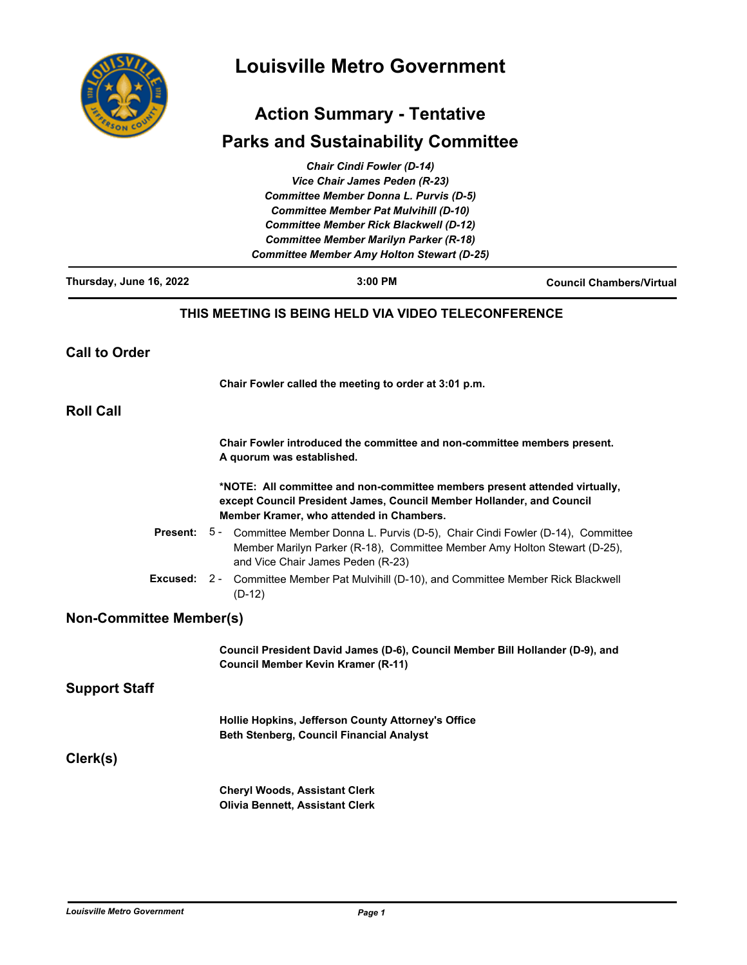

# **Louisville Metro Government**

## **Action Summary - Tentative**

### **Parks and Sustainability Committee**

|                                | <b>Chair Cindi Fowler (D-14)</b><br>Vice Chair James Peden (R-23)<br>Committee Member Donna L. Purvis (D-5)<br><b>Committee Member Pat Mulvihill (D-10)</b><br><b>Committee Member Rick Blackwell (D-12)</b><br><b>Committee Member Marilyn Parker (R-18)</b> |                                 |
|--------------------------------|---------------------------------------------------------------------------------------------------------------------------------------------------------------------------------------------------------------------------------------------------------------|---------------------------------|
|                                | <b>Committee Member Amy Holton Stewart (D-25)</b>                                                                                                                                                                                                             |                                 |
| Thursday, June 16, 2022        | $3:00$ PM                                                                                                                                                                                                                                                     | <b>Council Chambers/Virtual</b> |
|                                | THIS MEETING IS BEING HELD VIA VIDEO TELECONFERENCE                                                                                                                                                                                                           |                                 |
| <b>Call to Order</b>           |                                                                                                                                                                                                                                                               |                                 |
|                                | Chair Fowler called the meeting to order at 3:01 p.m.                                                                                                                                                                                                         |                                 |
| <b>Roll Call</b>               |                                                                                                                                                                                                                                                               |                                 |
|                                | Chair Fowler introduced the committee and non-committee members present.<br>A quorum was established.                                                                                                                                                         |                                 |
|                                | *NOTE: All committee and non-committee members present attended virtually,<br>except Council President James, Council Member Hollander, and Council<br>Member Kramer, who attended in Chambers.                                                               |                                 |
| Present:                       | 5 - Committee Member Donna L. Purvis (D-5), Chair Cindi Fowler (D-14), Committee<br>Member Marilyn Parker (R-18), Committee Member Amy Holton Stewart (D-25),<br>and Vice Chair James Peden (R-23)                                                            |                                 |
| Excused:                       | 2 - Committee Member Pat Mulvihill (D-10), and Committee Member Rick Blackwell<br>$(D-12)$                                                                                                                                                                    |                                 |
| <b>Non-Committee Member(s)</b> |                                                                                                                                                                                                                                                               |                                 |
|                                | Council President David James (D-6), Council Member Bill Hollander (D-9), and<br><b>Council Member Kevin Kramer (R-11)</b>                                                                                                                                    |                                 |
| <b>Support Staff</b>           |                                                                                                                                                                                                                                                               |                                 |
|                                | Hollie Hopkins, Jefferson County Attorney's Office<br><b>Beth Stenberg, Council Financial Analyst</b>                                                                                                                                                         |                                 |
| Clerk(s)                       |                                                                                                                                                                                                                                                               |                                 |
|                                | <b>Cheryl Woods, Assistant Clerk</b><br><b>Olivia Bennett, Assistant Clerk</b>                                                                                                                                                                                |                                 |